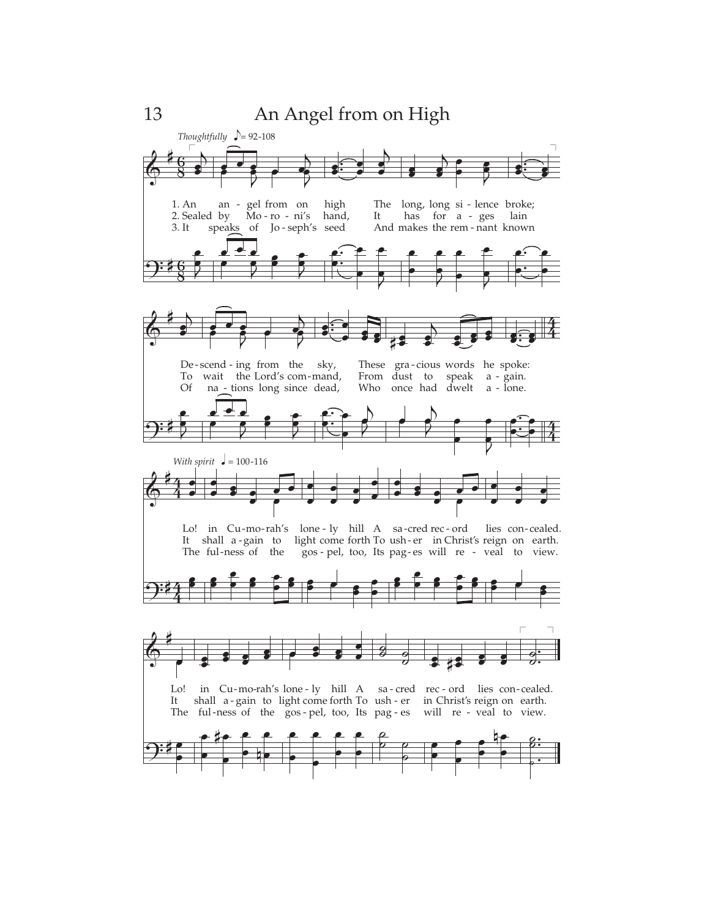13